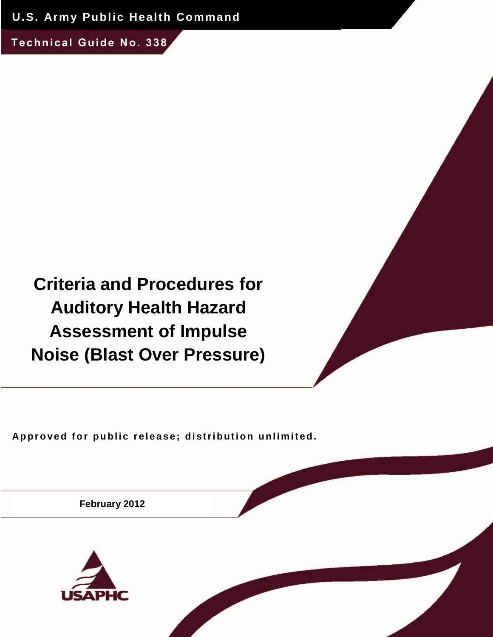**U.S. Army Public Health Command**

**Technical Guide No. 338**

# **Criteria and Procedures for Auditory Health Hazard Assessment of Impulse Noise (Blast Over Pressure)**

Approved for public release; distribution unlimited.

**February 2012**

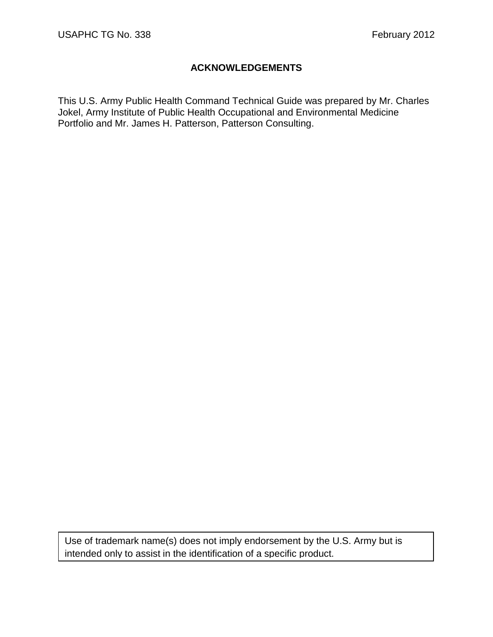# **ACKNOWLEDGEMENTS**

This U.S. Army Public Health Command Technical Guide was prepared by Mr. Charles Jokel, Army Institute of Public Health Occupational and Environmental Medicine Portfolio and Mr. James H. Patterson, Patterson Consulting.

Use of trademark name(s) does not imply endorsement by the U.S. Army but is intended only to assist in the identification of a specific product.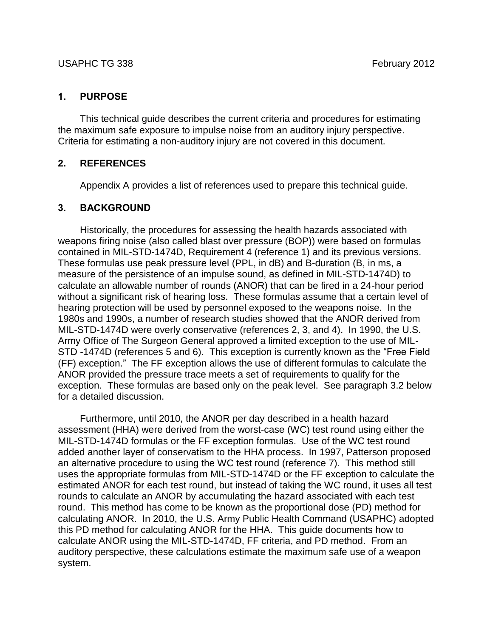## **1. PURPOSE**

This technical guide describes the current criteria and procedures for estimating the maximum safe exposure to impulse noise from an auditory injury perspective. Criteria for estimating a non-auditory injury are not covered in this document.

## **2. REFERENCES**

Appendix A provides a list of references used to prepare this technical guide.

# **3. BACKGROUND**

Historically, the procedures for assessing the health hazards associated with weapons firing noise (also called blast over pressure (BOP)) were based on formulas contained in MIL-STD-1474D, Requirement 4 (reference 1) and its previous versions. These formulas use peak pressure level (PPL, in dB) and B-duration (B, in ms, a measure of the persistence of an impulse sound, as defined in MIL-STD-1474D) to calculate an allowable number of rounds (ANOR) that can be fired in a 24-hour period without a significant risk of hearing loss. These formulas assume that a certain level of hearing protection will be used by personnel exposed to the weapons noise. In the 1980s and 1990s, a number of research studies showed that the ANOR derived from MIL-STD-1474D were overly conservative (references 2, 3, and 4). In 1990, the U.S. Army Office of The Surgeon General approved a limited exception to the use of MIL-STD -1474D (references 5 and 6). This exception is currently known as the "Free Field (FF) exception." The FF exception allows the use of different formulas to calculate the ANOR provided the pressure trace meets a set of requirements to qualify for the exception. These formulas are based only on the peak level. See paragraph 3.2 below for a detailed discussion.

Furthermore, until 2010, the ANOR per day described in a health hazard assessment (HHA) were derived from the worst-case (WC) test round using either the MIL-STD-1474D formulas or the FF exception formulas. Use of the WC test round added another layer of conservatism to the HHA process. In 1997, Patterson proposed an alternative procedure to using the WC test round (reference 7). This method still uses the appropriate formulas from MIL-STD-1474D or the FF exception to calculate the estimated ANOR for each test round, but instead of taking the WC round, it uses all test rounds to calculate an ANOR by accumulating the hazard associated with each test round. This method has come to be known as the proportional dose (PD) method for calculating ANOR. In 2010, the U.S. Army Public Health Command (USAPHC) adopted this PD method for calculating ANOR for the HHA. This guide documents how to calculate ANOR using the MIL-STD-1474D, FF criteria, and PD method. From an auditory perspective, these calculations estimate the maximum safe use of a weapon system.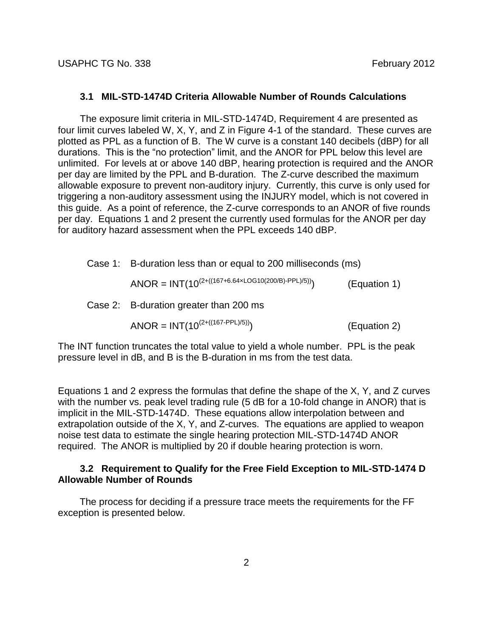#### **3.1 MIL-STD-1474D Criteria Allowable Number of Rounds Calculations**

The exposure limit criteria in MIL-STD-1474D, Requirement 4 are presented as four limit curves labeled W, X, Y, and Z in Figure 4-1 of the standard. These curves are plotted as PPL as a function of B. The W curve is a constant 140 decibels (dBP) for all durations. This is the "no protection" limit, and the ANOR for PPL below this level are unlimited. For levels at or above 140 dBP, hearing protection is required and the ANOR per day are limited by the PPL and B-duration. The Z-curve described the maximum allowable exposure to prevent non-auditory injury. Currently, this curve is only used for triggering a non-auditory assessment using the INJURY model, which is not covered in this guide. As a point of reference, the Z-curve corresponds to an ANOR of five rounds per day. Equations 1 and 2 present the currently used formulas for the ANOR per day for auditory hazard assessment when the PPL exceeds 140 dBP.

Case 1: B-duration less than or equal to 200 milliseconds (ms)

$$
ANOR = INT(10^{(2+((167+6.64 \times LOG10(200/B)-PPL)/5))})
$$
 (Equation 1)

Case 2: B-duration greater than 200 ms

ANOR =  $INT(10^{(2+((167-PPL)/5))})$ ) (Equation 2)

The INT function truncates the total value to yield a whole number. PPL is the peak pressure level in dB, and B is the B-duration in ms from the test data.

Equations 1 and 2 express the formulas that define the shape of the X, Y, and Z curves with the number vs. peak level trading rule (5 dB for a 10-fold change in ANOR) that is implicit in the MIL-STD-1474D. These equations allow interpolation between and extrapolation outside of the X, Y, and Z-curves. The equations are applied to weapon noise test data to estimate the single hearing protection MIL-STD-1474D ANOR required. The ANOR is multiplied by 20 if double hearing protection is worn.

#### **3.2 Requirement to Qualify for the Free Field Exception to MIL-STD-1474 D Allowable Number of Rounds**

The process for deciding if a pressure trace meets the requirements for the FF exception is presented below.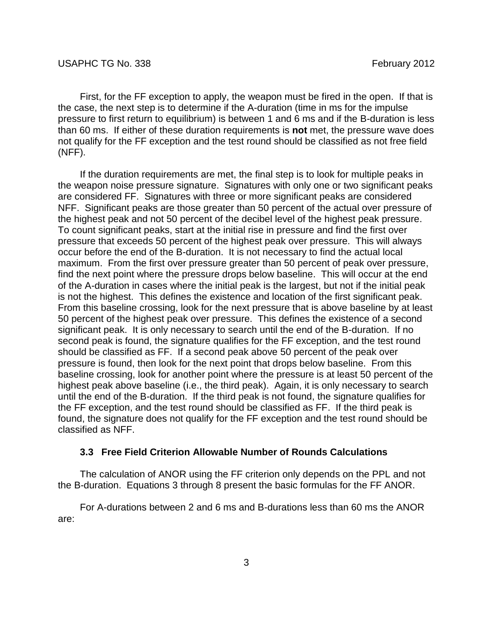First, for the FF exception to apply, the weapon must be fired in the open. If that is the case, the next step is to determine if the A-duration (time in ms for the impulse pressure to first return to equilibrium) is between 1 and 6 ms and if the B-duration is less than 60 ms. If either of these duration requirements is **not** met, the pressure wave does not qualify for the FF exception and the test round should be classified as not free field (NFF).

If the duration requirements are met, the final step is to look for multiple peaks in the weapon noise pressure signature. Signatures with only one or two significant peaks are considered FF. Signatures with three or more significant peaks are considered NFF. Significant peaks are those greater than 50 percent of the actual over pressure of the highest peak and not 50 percent of the decibel level of the highest peak pressure. To count significant peaks, start at the initial rise in pressure and find the first over pressure that exceeds 50 percent of the highest peak over pressure. This will always occur before the end of the B-duration. It is not necessary to find the actual local maximum. From the first over pressure greater than 50 percent of peak over pressure, find the next point where the pressure drops below baseline. This will occur at the end of the A-duration in cases where the initial peak is the largest, but not if the initial peak is not the highest. This defines the existence and location of the first significant peak. From this baseline crossing, look for the next pressure that is above baseline by at least 50 percent of the highest peak over pressure. This defines the existence of a second significant peak. It is only necessary to search until the end of the B-duration. If no second peak is found, the signature qualifies for the FF exception, and the test round should be classified as FF. If a second peak above 50 percent of the peak over pressure is found, then look for the next point that drops below baseline. From this baseline crossing, look for another point where the pressure is at least 50 percent of the highest peak above baseline (i.e., the third peak). Again, it is only necessary to search until the end of the B-duration. If the third peak is not found, the signature qualifies for the FF exception, and the test round should be classified as FF. If the third peak is found, the signature does not qualify for the FF exception and the test round should be classified as NFF.

#### **3.3 Free Field Criterion Allowable Number of Rounds Calculations**

The calculation of ANOR using the FF criterion only depends on the PPL and not the B-duration. Equations 3 through 8 present the basic formulas for the FF ANOR.

For A-durations between 2 and 6 ms and B-durations less than 60 ms the ANOR are: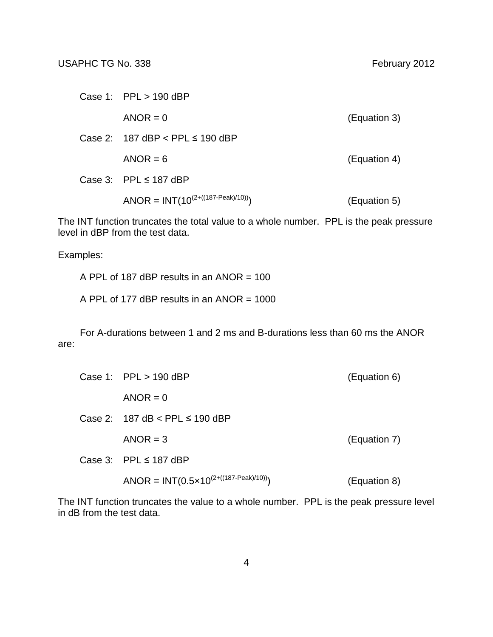| Case 1: $PPL > 190$ dBP                    |              |
|--------------------------------------------|--------------|
| $ANOR = 0$                                 | (Equation 3) |
| Case 2: $187$ dBP $\lt$ PPL $\leq$ 190 dBP |              |
| $ANOR = 6$                                 | (Equation 4) |
| Case 3: PPL $\leq$ 187 dBP                 |              |
| ANOR = $INT(10^{(2+((187-Peak)/10))})$     | (Equation 5) |

The INT function truncates the total value to a whole number. PPL is the peak pressure level in dBP from the test data.

Examples:

A PPL of 187 dBP results in an ANOR = 100

A PPL of 177 dBP results in an ANOR  $= 1000$ 

For A-durations between 1 and 2 ms and B-durations less than 60 ms the ANOR are:

| Case 1: $PPL > 190$ dBP                                     | (Equation 6) |
|-------------------------------------------------------------|--------------|
| $ANOR = 0$                                                  |              |
| Case 2: 187 dB < PPL $\leq$ 190 dBP                         |              |
| $ANOR = 3$                                                  | (Equation 7) |
| Case 3: PPL $\leq$ 187 dBP                                  |              |
| ANOR = INT(0.5 $\times$ 10 <sup>(2+((187-Peak)/10))</sup> ) | (Equation 8) |

The INT function truncates the value to a whole number. PPL is the peak pressure level in dB from the test data.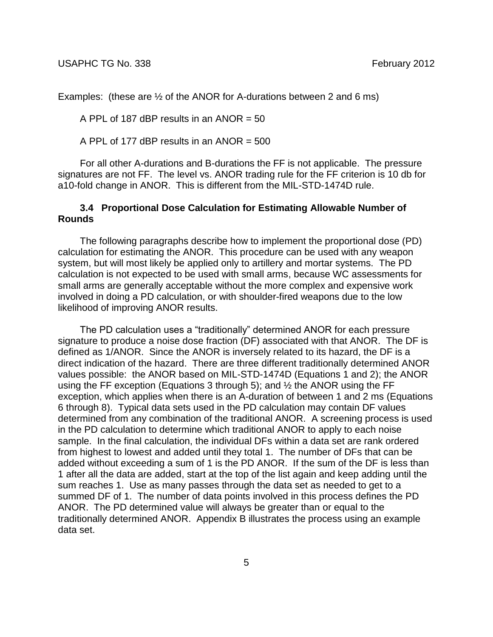Examples: (these are ½ of the ANOR for A-durations between 2 and 6 ms)

A PPL of 187 dBP results in an ANOR = 50

A PPL of 177 dBP results in an ANOR = 500

For all other A-durations and B-durations the FF is not applicable. The pressure signatures are not FF. The level vs. ANOR trading rule for the FF criterion is 10 db for a10-fold change in ANOR. This is different from the MIL-STD-1474D rule.

## **3.4 Proportional Dose Calculation for Estimating Allowable Number of Rounds**

The following paragraphs describe how to implement the proportional dose (PD) calculation for estimating the ANOR. This procedure can be used with any weapon system, but will most likely be applied only to artillery and mortar systems. The PD calculation is not expected to be used with small arms, because WC assessments for small arms are generally acceptable without the more complex and expensive work involved in doing a PD calculation, or with shoulder-fired weapons due to the low likelihood of improving ANOR results.

The PD calculation uses a "traditionally" determined ANOR for each pressure signature to produce a noise dose fraction (DF) associated with that ANOR. The DF is defined as 1/ANOR. Since the ANOR is inversely related to its hazard, the DF is a direct indication of the hazard. There are three different traditionally determined ANOR values possible: the ANOR based on MIL-STD-1474D (Equations 1 and 2); the ANOR using the FF exception (Equations 3 through 5); and  $\frac{1}{2}$  the ANOR using the FF exception, which applies when there is an A-duration of between 1 and 2 ms (Equations 6 through 8). Typical data sets used in the PD calculation may contain DF values determined from any combination of the traditional ANOR. A screening process is used in the PD calculation to determine which traditional ANOR to apply to each noise sample. In the final calculation, the individual DFs within a data set are rank ordered from highest to lowest and added until they total 1. The number of DFs that can be added without exceeding a sum of 1 is the PD ANOR. If the sum of the DF is less than 1 after all the data are added, start at the top of the list again and keep adding until the sum reaches 1. Use as many passes through the data set as needed to get to a summed DF of 1. The number of data points involved in this process defines the PD ANOR. The PD determined value will always be greater than or equal to the traditionally determined ANOR. Appendix B illustrates the process using an example data set.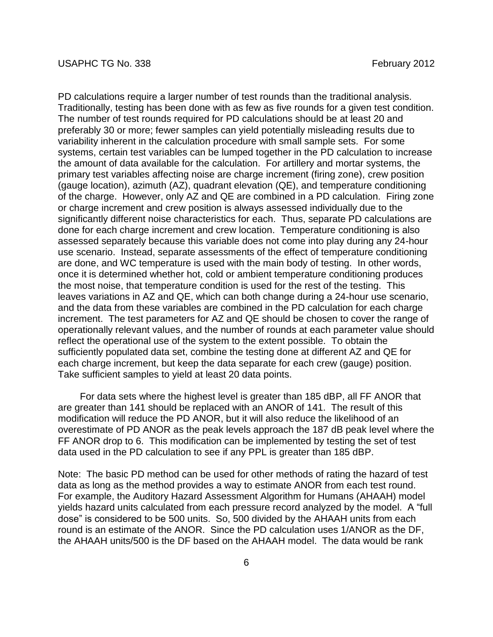PD calculations require a larger number of test rounds than the traditional analysis. Traditionally, testing has been done with as few as five rounds for a given test condition. The number of test rounds required for PD calculations should be at least 20 and preferably 30 or more; fewer samples can yield potentially misleading results due to variability inherent in the calculation procedure with small sample sets. For some systems, certain test variables can be lumped together in the PD calculation to increase the amount of data available for the calculation. For artillery and mortar systems, the primary test variables affecting noise are charge increment (firing zone), crew position (gauge location), azimuth (AZ), quadrant elevation (QE), and temperature conditioning of the charge. However, only AZ and QE are combined in a PD calculation. Firing zone or charge increment and crew position is always assessed individually due to the significantly different noise characteristics for each. Thus, separate PD calculations are done for each charge increment and crew location. Temperature conditioning is also assessed separately because this variable does not come into play during any 24-hour use scenario. Instead, separate assessments of the effect of temperature conditioning are done, and WC temperature is used with the main body of testing. In other words, once it is determined whether hot, cold or ambient temperature conditioning produces the most noise, that temperature condition is used for the rest of the testing. This leaves variations in AZ and QE, which can both change during a 24-hour use scenario, and the data from these variables are combined in the PD calculation for each charge increment. The test parameters for AZ and QE should be chosen to cover the range of operationally relevant values, and the number of rounds at each parameter value should reflect the operational use of the system to the extent possible. To obtain the sufficiently populated data set, combine the testing done at different AZ and QE for each charge increment, but keep the data separate for each crew (gauge) position. Take sufficient samples to yield at least 20 data points.

For data sets where the highest level is greater than 185 dBP, all FF ANOR that are greater than 141 should be replaced with an ANOR of 141. The result of this modification will reduce the PD ANOR, but it will also reduce the likelihood of an overestimate of PD ANOR as the peak levels approach the 187 dB peak level where the FF ANOR drop to 6. This modification can be implemented by testing the set of test data used in the PD calculation to see if any PPL is greater than 185 dBP.

Note: The basic PD method can be used for other methods of rating the hazard of test data as long as the method provides a way to estimate ANOR from each test round. For example, the Auditory Hazard Assessment Algorithm for Humans (AHAAH) model yields hazard units calculated from each pressure record analyzed by the model. A "full dose" is considered to be 500 units. So, 500 divided by the AHAAH units from each round is an estimate of the ANOR. Since the PD calculation uses 1/ANOR as the DF, the AHAAH units/500 is the DF based on the AHAAH model. The data would be rank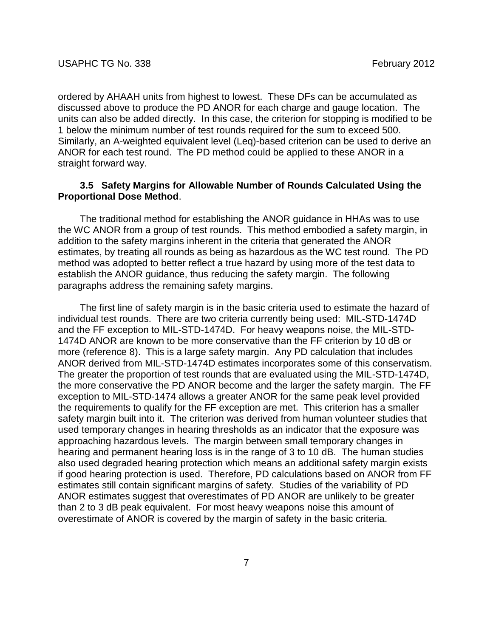ordered by AHAAH units from highest to lowest. These DFs can be accumulated as discussed above to produce the PD ANOR for each charge and gauge location. The units can also be added directly. In this case, the criterion for stopping is modified to be 1 below the minimum number of test rounds required for the sum to exceed 500. Similarly, an A-weighted equivalent level (Leq)-based criterion can be used to derive an ANOR for each test round. The PD method could be applied to these ANOR in a straight forward way.

## **3.5 Safety Margins for Allowable Number of Rounds Calculated Using the Proportional Dose Method**.

The traditional method for establishing the ANOR guidance in HHAs was to use the WC ANOR from a group of test rounds. This method embodied a safety margin, in addition to the safety margins inherent in the criteria that generated the ANOR estimates, by treating all rounds as being as hazardous as the WC test round. The PD method was adopted to better reflect a true hazard by using more of the test data to establish the ANOR guidance, thus reducing the safety margin. The following paragraphs address the remaining safety margins.

The first line of safety margin is in the basic criteria used to estimate the hazard of individual test rounds. There are two criteria currently being used: MIL-STD-1474D and the FF exception to MIL-STD-1474D. For heavy weapons noise, the MIL-STD-1474D ANOR are known to be more conservative than the FF criterion by 10 dB or more (reference 8). This is a large safety margin. Any PD calculation that includes ANOR derived from MIL-STD-1474D estimates incorporates some of this conservatism. The greater the proportion of test rounds that are evaluated using the MIL-STD-1474D, the more conservative the PD ANOR become and the larger the safety margin. The FF exception to MIL-STD-1474 allows a greater ANOR for the same peak level provided the requirements to qualify for the FF exception are met. This criterion has a smaller safety margin built into it. The criterion was derived from human volunteer studies that used temporary changes in hearing thresholds as an indicator that the exposure was approaching hazardous levels. The margin between small temporary changes in hearing and permanent hearing loss is in the range of 3 to 10 dB. The human studies also used degraded hearing protection which means an additional safety margin exists if good hearing protection is used. Therefore, PD calculations based on ANOR from FF estimates still contain significant margins of safety. Studies of the variability of PD ANOR estimates suggest that overestimates of PD ANOR are unlikely to be greater than 2 to 3 dB peak equivalent. For most heavy weapons noise this amount of overestimate of ANOR is covered by the margin of safety in the basic criteria.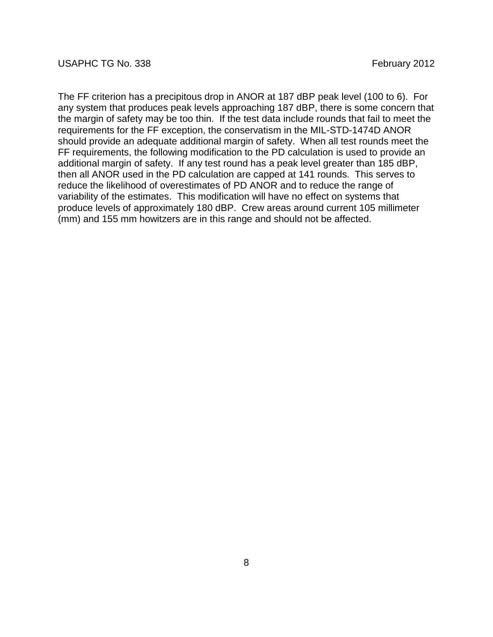The FF criterion has a precipitous drop in ANOR at 187 dBP peak level (100 to 6). For any system that produces peak levels approaching 187 dBP, there is some concern that the margin of safety may be too thin. If the test data include rounds that fail to meet the requirements for the FF exception, the conservatism in the MIL-STD-1474D ANOR should provide an adequate additional margin of safety. When all test rounds meet the FF requirements, the following modification to the PD calculation is used to provide an additional margin of safety. If any test round has a peak level greater than 185 dBP, then all ANOR used in the PD calculation are capped at 141 rounds. This serves to reduce the likelihood of overestimates of PD ANOR and to reduce the range of variability of the estimates. This modification will have no effect on systems that produce levels of approximately 180 dBP. Crew areas around current 105 millimeter (mm) and 155 mm howitzers are in this range and should not be affected.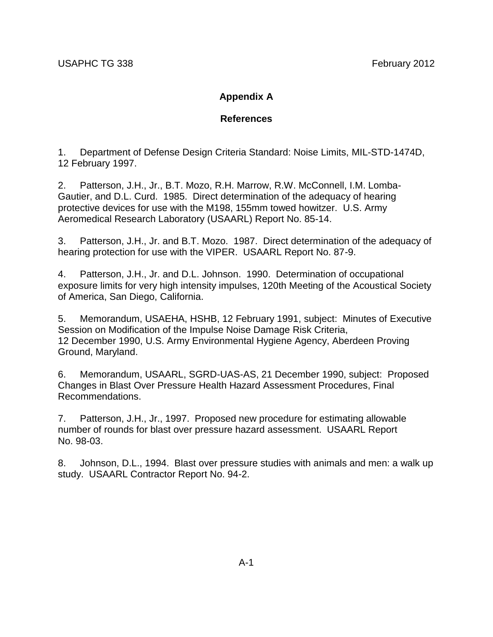# **Appendix A**

## **References**

1. Department of Defense Design Criteria Standard: Noise Limits, MIL-STD-1474D, 12 February 1997.

2. Patterson, J.H., Jr., B.T. Mozo, R.H. Marrow, R.W. McConnell, I.M. Lomba-Gautier, and D.L. Curd. 1985. Direct determination of the adequacy of hearing protective devices for use with the M198, 155mm towed howitzer. U.S. Army Aeromedical Research Laboratory (USAARL) Report No. 85-14.

3. Patterson, J.H., Jr. and B.T. Mozo. 1987. Direct determination of the adequacy of hearing protection for use with the VIPER. USAARL Report No. 87-9.

4. Patterson, J.H., Jr. and D.L. Johnson. 1990. Determination of occupational exposure limits for very high intensity impulses, 120th Meeting of the Acoustical Society of America, San Diego, California.

5. Memorandum, USAEHA, HSHB, 12 February 1991, subject: Minutes of Executive Session on Modification of the Impulse Noise Damage Risk Criteria, 12 December 1990, U.S. Army Environmental Hygiene Agency, Aberdeen Proving Ground, Maryland.

6. Memorandum, USAARL, SGRD-UAS-AS, 21 December 1990, subject: Proposed Changes in Blast Over Pressure Health Hazard Assessment Procedures, Final Recommendations.

7. Patterson, J.H., Jr., 1997. Proposed new procedure for estimating allowable number of rounds for blast over pressure hazard assessment. USAARL Report No. 98-03.

8. Johnson, D.L., 1994. Blast over pressure studies with animals and men: a walk up study. USAARL Contractor Report No. 94-2.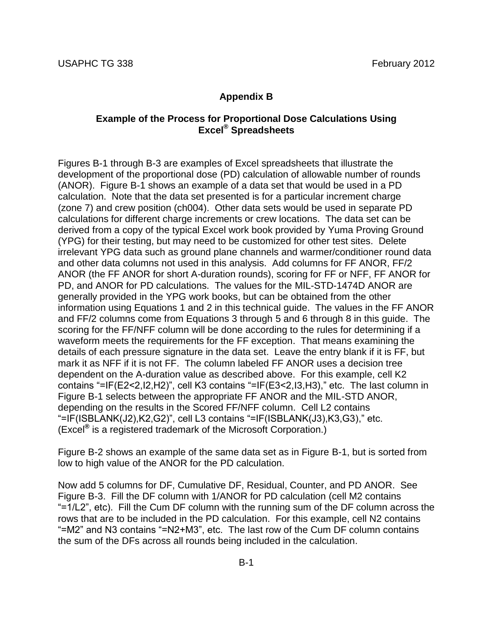#### **Appendix B**

### **Example of the Process for Proportional Dose Calculations Using Excel® Spreadsheets**

Figures B-1 through B-3 are examples of Excel spreadsheets that illustrate the development of the proportional dose (PD) calculation of allowable number of rounds (ANOR). Figure B-1 shows an example of a data set that would be used in a PD calculation. Note that the data set presented is for a particular increment charge (zone 7) and crew position (ch004). Other data sets would be used in separate PD calculations for different charge increments or crew locations. The data set can be derived from a copy of the typical Excel work book provided by Yuma Proving Ground (YPG) for their testing, but may need to be customized for other test sites. Delete irrelevant YPG data such as ground plane channels and warmer/conditioner round data and other data columns not used in this analysis. Add columns for FF ANOR, FF/2 ANOR (the FF ANOR for short A-duration rounds), scoring for FF or NFF, FF ANOR for PD, and ANOR for PD calculations. The values for the MIL-STD-1474D ANOR are generally provided in the YPG work books, but can be obtained from the other information using Equations 1 and 2 in this technical guide. The values in the FF ANOR and FF/2 columns come from Equations 3 through 5 and 6 through 8 in this guide. The scoring for the FF/NFF column will be done according to the rules for determining if a waveform meets the requirements for the FF exception. That means examining the details of each pressure signature in the data set. Leave the entry blank if it is FF, but mark it as NFF if it is not FF. The column labeled FF ANOR uses a decision tree dependent on the A-duration value as described above. For this example, cell K2 contains "=IF(E2<2,I2,H2)", cell K3 contains "=IF(E3<2,I3,H3)," etc. The last column in Figure B-1 selects between the appropriate FF ANOR and the MIL-STD ANOR, depending on the results in the Scored FF/NFF column. Cell L2 contains "=IF(ISBLANK(J2),K2,G2)", cell L3 contains "=IF(ISBLANK(J3),K3,G3)," etc. (Excel**®** is a registered trademark of the Microsoft Corporation.)

Figure B-2 shows an example of the same data set as in Figure B-1, but is sorted from low to high value of the ANOR for the PD calculation.

Now add 5 columns for DF, Cumulative DF, Residual, Counter, and PD ANOR. See Figure B-3. Fill the DF column with 1/ANOR for PD calculation (cell M2 contains "=1/L2", etc). Fill the Cum DF column with the running sum of the DF column across the rows that are to be included in the PD calculation. For this example, cell N2 contains "=M2" and N3 contains "=N2+M3", etc. The last row of the Cum DF column contains the sum of the DFs across all rounds being included in the calculation.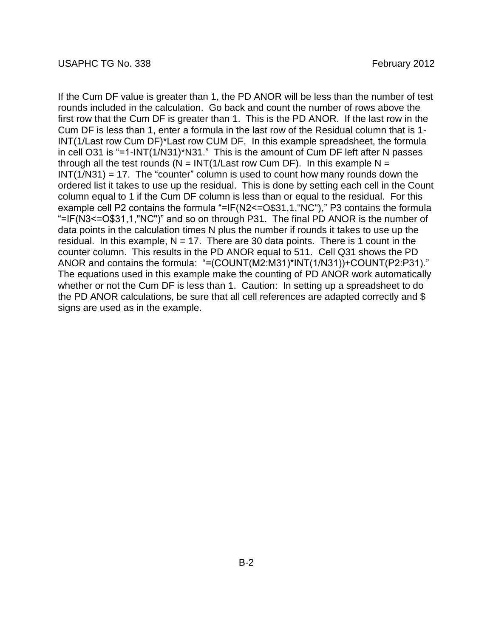If the Cum DF value is greater than 1, the PD ANOR will be less than the number of test rounds included in the calculation. Go back and count the number of rows above the first row that the Cum DF is greater than 1. This is the PD ANOR. If the last row in the Cum DF is less than 1, enter a formula in the last row of the Residual column that is 1- INT(1/Last row Cum DF)\*Last row CUM DF. In this example spreadsheet, the formula in cell O31 is "=1-INT(1/N31)\*N31." This is the amount of Cum DF left after N passes through all the test rounds ( $N = INT(1/Last$  row Cum DF). In this example N =  $INT(1/N31) = 17$ . The "counter" column is used to count how many rounds down the ordered list it takes to use up the residual. This is done by setting each cell in the Count column equal to 1 if the Cum DF column is less than or equal to the residual. For this example cell P2 contains the formula "=IF(N2<=O\$31,1,"NC")," P3 contains the formula "=IF(N3<=O\$31,1,"NC")" and so on through P31. The final PD ANOR is the number of data points in the calculation times N plus the number if rounds it takes to use up the residual. In this example,  $N = 17$ . There are 30 data points. There is 1 count in the counter column. This results in the PD ANOR equal to 511. Cell Q31 shows the PD ANOR and contains the formula: "=(COUNT(M2:M31)\*INT(1/N31))+COUNT(P2:P31)." The equations used in this example make the counting of PD ANOR work automatically whether or not the Cum DF is less than 1. Caution: In setting up a spreadsheet to do the PD ANOR calculations, be sure that all cell references are adapted correctly and \$ signs are used as in the example.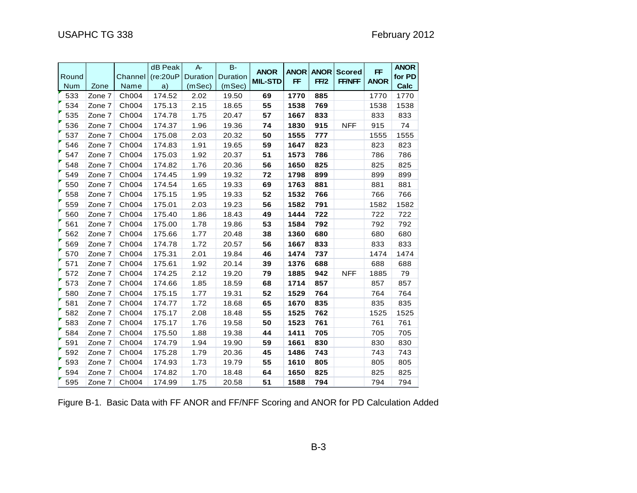|            |        |         | dB Peak   | $A -$           | $B -$    |                |             |             |               |             | <b>ANOR</b> |
|------------|--------|---------|-----------|-----------------|----------|----------------|-------------|-------------|---------------|-------------|-------------|
| Round      |        | Channel | (re:20uP) | <b>Duration</b> | Duration | <b>ANOR</b>    | <b>ANOR</b> | <b>ANOR</b> | <b>Scored</b> | <b>FF</b>   | for PD      |
| <b>Num</b> | Zone   | Name    | a)        | (mSec)          | (mSec)   | <b>MIL-STD</b> | <b>FF</b>   | FF/2        | <b>FF/NFF</b> | <b>ANOR</b> | Calc        |
| 533        | Zone 7 | Ch004   | 174.52    | 2.02            | 19.50    | 69             | 1770        | 885         |               | 1770        | 1770        |
| 534        | Zone 7 | Ch004   | 175.13    | 2.15            | 18.65    | 55             | 1538        | 769         |               | 1538        | 1538        |
| 535        | Zone 7 | Ch004   | 174.78    | 1.75            | 20.47    | 57             | 1667        | 833         |               | 833         | 833         |
| 536        | Zone 7 | Ch004   | 174.37    | 1.96            | 19.36    | 74             | 1830        | 915         | <b>NFF</b>    | 915         | 74          |
| 537        | Zone 7 | Ch004   | 175.08    | 2.03            | 20.32    | 50             | 1555        | 777         |               | 1555        | 1555        |
| 546        | Zone 7 | Ch004   | 174.83    | 1.91            | 19.65    | 59             | 1647        | 823         |               | 823         | 823         |
| 547        | Zone 7 | Ch004   | 175.03    | 1.92            | 20.37    | 51             | 1573        | 786         |               | 786         | 786         |
| 548        | Zone 7 | Ch004   | 174.82    | 1.76            | 20.36    | 56             | 1650        | 825         |               | 825         | 825         |
| 549        | Zone 7 | Ch004   | 174.45    | 1.99            | 19.32    | 72             | 1798        | 899         |               | 899         | 899         |
| 550        | Zone 7 | Ch004   | 174.54    | 1.65            | 19.33    | 69             | 1763        | 881         |               | 881         | 881         |
| 558        | Zone 7 | Ch004   | 175.15    | 1.95            | 19.33    | 52             | 1532        | 766         |               | 766         | 766         |
| 559        | Zone 7 | Ch004   | 175.01    | 2.03            | 19.23    | 56             | 1582        | 791         |               | 1582        | 1582        |
| 560        | Zone 7 | Ch004   | 175.40    | 1.86            | 18.43    | 49             | 1444        | 722         |               | 722         | 722         |
| 561        | Zone 7 | Ch004   | 175.00    | 1.78            | 19.86    | 53             | 1584        | 792         |               | 792         | 792         |
| 562        | Zone 7 | Ch004   | 175.66    | 1.77            | 20.48    | 38             | 1360        | 680         |               | 680         | 680         |
| 569        | Zone 7 | Ch004   | 174.78    | 1.72            | 20.57    | 56             | 1667        | 833         |               | 833         | 833         |
| 570        | Zone 7 | Ch004   | 175.31    | 2.01            | 19.84    | 46             | 1474        | 737         |               | 1474        | 1474        |
| 571        | Zone 7 | Ch004   | 175.61    | 1.92            | 20.14    | 39             | 1376        | 688         |               | 688         | 688         |
| 572        | Zone 7 | Ch004   | 174.25    | 2.12            | 19.20    | 79             | 1885        | 942         | <b>NFF</b>    | 1885        | 79          |
| 573        | Zone 7 | Ch004   | 174.66    | 1.85            | 18.59    | 68             | 1714        | 857         |               | 857         | 857         |
| 580        | Zone 7 | Ch004   | 175.15    | 1.77            | 19.31    | 52             | 1529        | 764         |               | 764         | 764         |
| 581        | Zone 7 | Ch004   | 174.77    | 1.72            | 18.68    | 65             | 1670        | 835         |               | 835         | 835         |
| 582        | Zone 7 | Ch004   | 175.17    | 2.08            | 18.48    | 55             | 1525        | 762         |               | 1525        | 1525        |
| 583        | Zone 7 | Ch004   | 175.17    | 1.76            | 19.58    | 50             | 1523        | 761         |               | 761         | 761         |
| 584        | Zone 7 | Ch004   | 175.50    | 1.88            | 19.38    | 44             | 1411        | 705         |               | 705         | 705         |
| 591        | Zone 7 | Ch004   | 174.79    | 1.94            | 19.90    | 59             | 1661        | 830         |               | 830         | 830         |
| 592        | Zone 7 | Ch004   | 175.28    | 1.79            | 20.36    | 45             | 1486        | 743         |               | 743         | 743         |
| 593        | Zone 7 | Ch004   | 174.93    | 1.73            | 19.79    | 55             | 1610        | 805         |               | 805         | 805         |
| 594        | Zone 7 | Ch004   | 174.82    | 1.70            | 18.48    | 64             | 1650        | 825         |               | 825         | 825         |
| 595        | Zone 7 | Ch004   | 174.99    | 1.75            | 20.58    | 51             | 1588        | 794         |               | 794         | 794         |

Figure B-1. Basic Data with FF ANOR and FF/NFF Scoring and ANOR for PD Calculation Added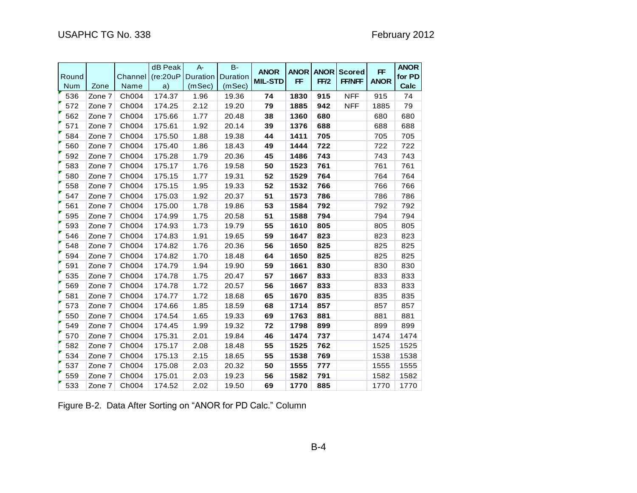| Round      |        | Channel | dB Peak<br>(re:20uP) | $A -$<br>Duration | $B -$<br>Duration | <b>ANOR</b><br><b>MIL-STD</b> | <b>ANOR</b><br><b>FF</b> | <b>ANOR</b><br>FF/2 | <b>Scored</b><br><b>FF/NFF</b> | <b>FF</b><br><b>ANOR</b> | <b>ANOR</b><br>for PD |
|------------|--------|---------|----------------------|-------------------|-------------------|-------------------------------|--------------------------|---------------------|--------------------------------|--------------------------|-----------------------|
| <b>Num</b> | Zone   | Name    | a)                   | (mSec)            | (mSec)            |                               |                          |                     |                                |                          | Calc                  |
| 536        | Zone 7 | Ch004   | 174.37               | 1.96              | 19.36             | 74                            | 1830                     | 915                 | <b>NFF</b>                     | 915                      | 74                    |
| 572        | Zone 7 | Ch004   | 174.25               | 2.12              | 19.20             | 79                            | 1885                     | 942                 | <b>NFF</b>                     | 1885                     | 79                    |
| 562        | Zone 7 | Ch004   | 175.66               | 1.77              | 20.48             | 38                            | 1360                     | 680                 |                                | 680                      | 680                   |
| 571        | Zone 7 | Ch004   | 175.61               | 1.92              | 20.14             | 39                            | 1376                     | 688                 |                                | 688                      | 688                   |
| 584        | Zone 7 | Ch004   | 175.50               | 1.88              | 19.38             | 44                            | 1411                     | 705                 |                                | 705                      | 705                   |
| 560        | Zone 7 | Ch004   | 175.40               | 1.86              | 18.43             | 49                            | 1444                     | 722                 |                                | 722                      | 722                   |
| 592        | Zone 7 | Ch004   | 175.28               | 1.79              | 20.36             | 45                            | 1486                     | 743                 |                                | 743                      | 743                   |
| 583        | Zone 7 | Ch004   | 175.17               | 1.76              | 19.58             | 50                            | 1523                     | 761                 |                                | 761                      | 761                   |
| 580        | Zone 7 | Ch004   | 175.15               | 1.77              | 19.31             | 52                            | 1529                     | 764                 |                                | 764                      | 764                   |
| 558        | Zone 7 | Ch004   | 175.15               | 1.95              | 19.33             | 52                            | 1532                     | 766                 |                                | 766                      | 766                   |
| 547        | Zone 7 | Ch004   | 175.03               | 1.92              | 20.37             | 51                            | 1573                     | 786                 |                                | 786                      | 786                   |
| 561        | Zone 7 | Ch004   | 175.00               | 1.78              | 19.86             | 53                            | 1584                     | 792                 |                                | 792                      | 792                   |
| 595        | Zone 7 | Ch004   | 174.99               | 1.75              | 20.58             | 51                            | 1588                     | 794                 |                                | 794                      | 794                   |
| 593        | Zone 7 | Ch004   | 174.93               | 1.73              | 19.79             | 55                            | 1610                     | 805                 |                                | 805                      | 805                   |
| 546        | Zone 7 | Ch004   | 174.83               | 1.91              | 19.65             | 59                            | 1647                     | 823                 |                                | 823                      | 823                   |
| 548        | Zone 7 | Ch004   | 174.82               | 1.76              | 20.36             | 56                            | 1650                     | 825                 |                                | 825                      | 825                   |
| 594        | Zone 7 | Ch004   | 174.82               | 1.70              | 18.48             | 64                            | 1650                     | 825                 |                                | 825                      | 825                   |
| 591        | Zone 7 | Ch004   | 174.79               | 1.94              | 19.90             | 59                            | 1661                     | 830                 |                                | 830                      | 830                   |
| 535        | Zone 7 | Ch004   | 174.78               | 1.75              | 20.47             | 57                            | 1667                     | 833                 |                                | 833                      | 833                   |
| 569        | Zone 7 | Ch004   | 174.78               | 1.72              | 20.57             | 56                            | 1667                     | 833                 |                                | 833                      | 833                   |
| 581        | Zone 7 | Ch004   | 174.77               | 1.72              | 18.68             | 65                            | 1670                     | 835                 |                                | 835                      | 835                   |
| 573        | Zone 7 | Ch004   | 174.66               | 1.85              | 18.59             | 68                            | 1714                     | 857                 |                                | 857                      | 857                   |
| 550        | Zone 7 | Ch004   | 174.54               | 1.65              | 19.33             | 69                            | 1763                     | 881                 |                                | 881                      | 881                   |
| 549        | Zone 7 | Ch004   | 174.45               | 1.99              | 19.32             | 72                            | 1798                     | 899                 |                                | 899                      | 899                   |
| 570        | Zone 7 | Ch004   | 175.31               | 2.01              | 19.84             | 46                            | 1474                     | 737                 |                                | 1474                     | 1474                  |
| 582        | Zone 7 | Ch004   | 175.17               | 2.08              | 18.48             | 55                            | 1525                     | 762                 |                                | 1525                     | 1525                  |
| 534        | Zone 7 | Ch004   | 175.13               | 2.15              | 18.65             | 55                            | 1538                     | 769                 |                                | 1538                     | 1538                  |
| 537        | Zone 7 | Ch004   | 175.08               | 2.03              | 20.32             | 50                            | 1555                     | 777                 |                                | 1555                     | 1555                  |
| 559        | Zone 7 | Ch004   | 175.01               | 2.03              | 19.23             | 56                            | 1582                     | 791                 |                                | 1582                     | 1582                  |
| 533        | Zone 7 | Ch004   | 174.52               | 2.02              | 19.50             | 69                            | 1770                     | 885                 |                                | 1770                     | 1770                  |

Figure B-2. Data After Sorting on "ANOR for PD Calc." Column